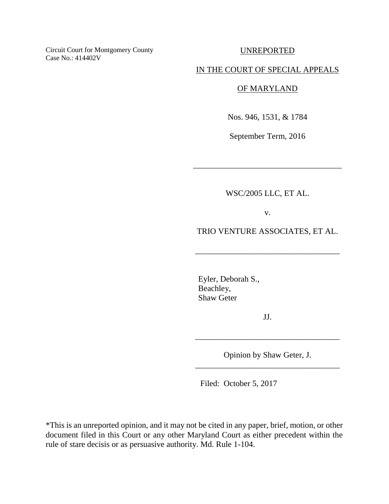Circuit Court for Montgomery County Case No.: 414402V

UNREPORTED

#### IN THE COURT OF SPECIAL APPEALS

## OF MARYLAND

Nos. 946, 1531, & 1784

September Term, 2016

WSC/2005 LLC, ET AL.

\_\_\_\_\_\_\_\_\_\_\_\_\_\_\_\_\_\_\_\_\_\_\_\_\_\_\_\_\_\_\_\_\_\_\_\_

v.

TRIO VENTURE ASSOCIATES, ET AL.

\_\_\_\_\_\_\_\_\_\_\_\_\_\_\_\_\_\_\_\_\_\_\_\_\_\_\_\_\_\_\_\_\_\_\_

 Eyler, Deborah S., Beachley, Shaw Geter

JJ.

\_\_\_\_\_\_\_\_\_\_\_\_\_\_\_\_\_\_\_\_\_\_\_\_\_\_\_\_\_\_\_\_\_\_\_

Opinion by Shaw Geter, J. \_\_\_\_\_\_\_\_\_\_\_\_\_\_\_\_\_\_\_\_\_\_\_\_\_\_\_\_\_\_\_\_\_\_\_

Filed: October 5, 2017

\*This is an unreported opinion, and it may not be cited in any paper, brief, motion, or other document filed in this Court or any other Maryland Court as either precedent within the rule of stare decisis or as persuasive authority. Md. Rule 1-104.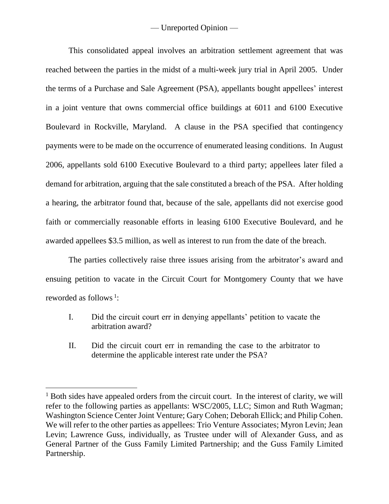This consolidated appeal involves an arbitration settlement agreement that was reached between the parties in the midst of a multi-week jury trial in April 2005. Under the terms of a Purchase and Sale Agreement (PSA), appellants bought appellees' interest in a joint venture that owns commercial office buildings at 6011 and 6100 Executive Boulevard in Rockville, Maryland. A clause in the PSA specified that contingency payments were to be made on the occurrence of enumerated leasing conditions. In August 2006, appellants sold 6100 Executive Boulevard to a third party; appellees later filed a demand for arbitration, arguing that the sale constituted a breach of the PSA. After holding a hearing, the arbitrator found that, because of the sale, appellants did not exercise good faith or commercially reasonable efforts in leasing 6100 Executive Boulevard, and he awarded appellees \$3.5 million, as well as interest to run from the date of the breach.

The parties collectively raise three issues arising from the arbitrator's award and ensuing petition to vacate in the Circuit Court for Montgomery County that we have reworded as follows<sup>1</sup>:

- I. Did the circuit court err in denying appellants' petition to vacate the arbitration award?
- II. Did the circuit court err in remanding the case to the arbitrator to determine the applicable interest rate under the PSA?

 $\overline{a}$ 

 $<sup>1</sup>$  Both sides have appealed orders from the circuit court. In the interest of clarity, we will</sup> refer to the following parties as appellants: WSC/2005, LLC; Simon and Ruth Wagman; Washington Science Center Joint Venture; Gary Cohen; Deborah Ellick; and Philip Cohen. We will refer to the other parties as appellees: Trio Venture Associates; Myron Levin; Jean Levin; Lawrence Guss, individually, as Trustee under will of Alexander Guss, and as General Partner of the Guss Family Limited Partnership; and the Guss Family Limited Partnership.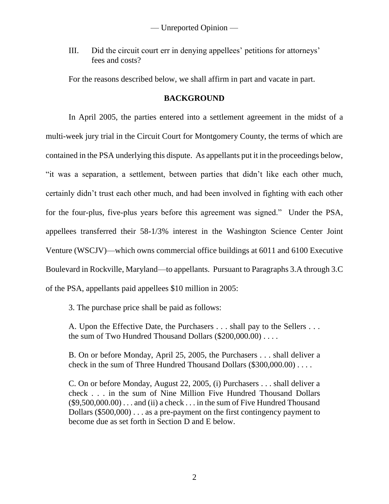III. Did the circuit court err in denying appellees' petitions for attorneys' fees and costs?

For the reasons described below, we shall affirm in part and vacate in part.

# **BACKGROUND**

In April 2005, the parties entered into a settlement agreement in the midst of a multi-week jury trial in the Circuit Court for Montgomery County, the terms of which are contained in the PSA underlying this dispute. As appellants put it in the proceedings below, "it was a separation, a settlement, between parties that didn't like each other much, certainly didn't trust each other much, and had been involved in fighting with each other for the four-plus, five-plus years before this agreement was signed." Under the PSA, appellees transferred their 58-1/3% interest in the Washington Science Center Joint Venture (WSCJV)—which owns commercial office buildings at 6011 and 6100 Executive Boulevard in Rockville, Maryland—to appellants. Pursuant to Paragraphs 3.A through 3.C of the PSA, appellants paid appellees \$10 million in 2005:

3. The purchase price shall be paid as follows:

A. Upon the Effective Date, the Purchasers . . . shall pay to the Sellers . . . the sum of Two Hundred Thousand Dollars (\$200,000.00) . . . . .

B. On or before Monday, April 25, 2005, the Purchasers . . . shall deliver a check in the sum of Three Hundred Thousand Dollars (\$300,000.00) . . . .

C. On or before Monday, August 22, 2005, (i) Purchasers . . . shall deliver a check . . . in the sum of Nine Million Five Hundred Thousand Dollars  $(\$9,500,000.00)$ ... and (ii) a check ... in the sum of Five Hundred Thousand Dollars (\$500,000) . . . as a pre-payment on the first contingency payment to become due as set forth in Section D and E below.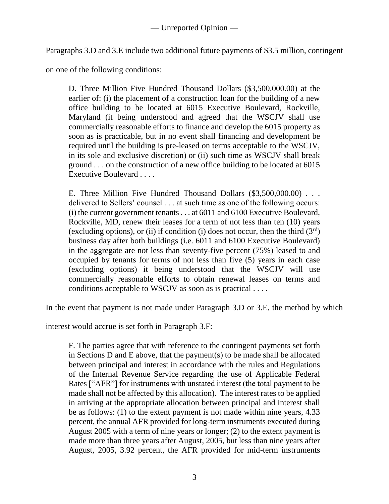Paragraphs 3.D and 3.E include two additional future payments of \$3.5 million, contingent

on one of the following conditions:

D. Three Million Five Hundred Thousand Dollars (\$3,500,000.00) at the earlier of: (i) the placement of a construction loan for the building of a new office building to be located at 6015 Executive Boulevard, Rockville, Maryland (it being understood and agreed that the WSCJV shall use commercially reasonable efforts to finance and develop the 6015 property as soon as is practicable, but in no event shall financing and development be required until the building is pre-leased on terms acceptable to the WSCJV, in its sole and exclusive discretion) or (ii) such time as WSCJV shall break ground . . . on the construction of a new office building to be located at 6015 Executive Boulevard . . . .

E. Three Million Five Hundred Thousand Dollars (\$3,500,000.00) . . . delivered to Sellers' counsel . . . at such time as one of the following occurs: (i) the current government tenants . . . at 6011 and 6100 Executive Boulevard, Rockville, MD, renew their leases for a term of not less than ten (10) years (excluding options), or (ii) if condition (i) does not occur, then the third  $(3<sup>rd</sup>)$ business day after both buildings (i.e. 6011 and 6100 Executive Boulevard) in the aggregate are not less than seventy-five percent (75%) leased to and occupied by tenants for terms of not less than five (5) years in each case (excluding options) it being understood that the WSCJV will use commercially reasonable efforts to obtain renewal leases on terms and conditions acceptable to WSCJV as soon as is practical . . . .

In the event that payment is not made under Paragraph 3.D or 3.E, the method by which

interest would accrue is set forth in Paragraph 3.F:

F. The parties agree that with reference to the contingent payments set forth in Sections D and E above, that the payment(s) to be made shall be allocated between principal and interest in accordance with the rules and Regulations of the Internal Revenue Service regarding the use of Applicable Federal Rates ["AFR"] for instruments with unstated interest (the total payment to be made shall not be affected by this allocation). The interest rates to be applied in arriving at the appropriate allocation between principal and interest shall be as follows: (1) to the extent payment is not made within nine years, 4.33 percent, the annual AFR provided for long-term instruments executed during August 2005 with a term of nine years or longer; (2) to the extent payment is made more than three years after August, 2005, but less than nine years after August, 2005, 3.92 percent, the AFR provided for mid-term instruments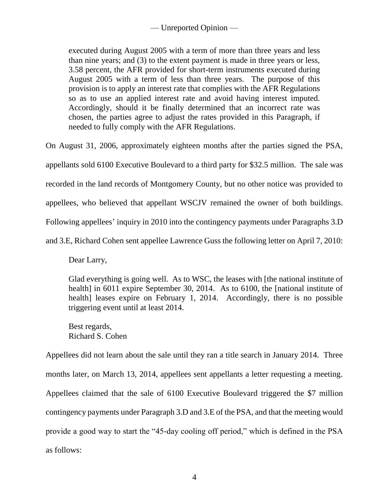executed during August 2005 with a term of more than three years and less than nine years; and (3) to the extent payment is made in three years or less, 3.58 percent, the AFR provided for short-term instruments executed during August 2005 with a term of less than three years. The purpose of this provision is to apply an interest rate that complies with the AFR Regulations so as to use an applied interest rate and avoid having interest imputed. Accordingly, should it be finally determined that an incorrect rate was chosen, the parties agree to adjust the rates provided in this Paragraph, if needed to fully comply with the AFR Regulations.

On August 31, 2006, approximately eighteen months after the parties signed the PSA, appellants sold 6100 Executive Boulevard to a third party for \$32.5 million. The sale was recorded in the land records of Montgomery County, but no other notice was provided to appellees, who believed that appellant WSCJV remained the owner of both buildings. Following appellees' inquiry in 2010 into the contingency payments under Paragraphs 3.D and 3.E, Richard Cohen sent appellee Lawrence Guss the following letter on April 7, 2010:

Dear Larry,

Glad everything is going well. As to WSC, the leases with [the national institute of health] in 6011 expire September 30, 2014. As to 6100, the [national institute of health] leases expire on February 1, 2014. Accordingly, there is no possible triggering event until at least 2014.

Best regards, Richard S. Cohen

Appellees did not learn about the sale until they ran a title search in January 2014. Three months later, on March 13, 2014, appellees sent appellants a letter requesting a meeting. Appellees claimed that the sale of 6100 Executive Boulevard triggered the \$7 million contingency payments under Paragraph 3.D and 3.E of the PSA, and that the meeting would provide a good way to start the "45-day cooling off period," which is defined in the PSA as follows: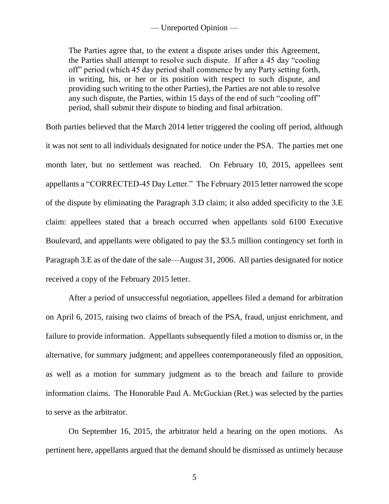The Parties agree that, to the extent a dispute arises under this Agreement, the Parties shall attempt to resolve such dispute. If after a 45 day "cooling off" period (which 45 day period shall commence by any Party setting forth, in writing, his, or her or its position with respect to such dispute, and providing such writing to the other Parties), the Parties are not able to resolve any such dispute, the Parties, within 15 days of the end of such "cooling off" period, shall submit their dispute to binding and final arbitration.

Both parties believed that the March 2014 letter triggered the cooling off period, although it was not sent to all individuals designated for notice under the PSA. The parties met one month later, but no settlement was reached. On February 10, 2015, appellees sent appellants a "CORRECTED-45 Day Letter." The February 2015 letter narrowed the scope of the dispute by eliminating the Paragraph 3.D claim; it also added specificity to the 3.E claim: appellees stated that a breach occurred when appellants sold 6100 Executive Boulevard, and appellants were obligated to pay the \$3.5 million contingency set forth in Paragraph 3.E as of the date of the sale—August 31, 2006. All parties designated for notice received a copy of the February 2015 letter.

After a period of unsuccessful negotiation, appellees filed a demand for arbitration on April 6, 2015, raising two claims of breach of the PSA, fraud, unjust enrichment, and failure to provide information. Appellants subsequently filed a motion to dismiss or, in the alternative, for summary judgment; and appellees contemporaneously filed an opposition, as well as a motion for summary judgment as to the breach and failure to provide information claims. The Honorable Paul A. McGuckian (Ret.) was selected by the parties to serve as the arbitrator.

On September 16, 2015, the arbitrator held a hearing on the open motions. As pertinent here, appellants argued that the demand should be dismissed as untimely because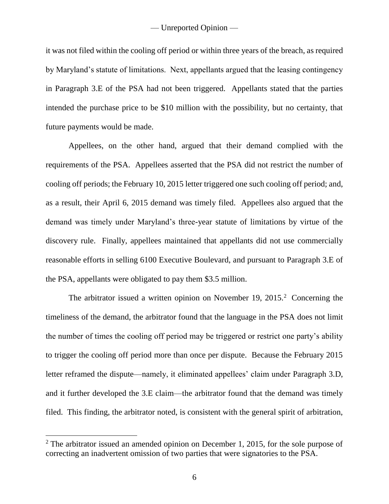it was not filed within the cooling off period or within three years of the breach, as required by Maryland's statute of limitations. Next, appellants argued that the leasing contingency in Paragraph 3.E of the PSA had not been triggered. Appellants stated that the parties intended the purchase price to be \$10 million with the possibility, but no certainty, that future payments would be made.

Appellees, on the other hand, argued that their demand complied with the requirements of the PSA. Appellees asserted that the PSA did not restrict the number of cooling off periods; the February 10, 2015 letter triggered one such cooling off period; and, as a result, their April 6, 2015 demand was timely filed. Appellees also argued that the demand was timely under Maryland's three-year statute of limitations by virtue of the discovery rule. Finally, appellees maintained that appellants did not use commercially reasonable efforts in selling 6100 Executive Boulevard, and pursuant to Paragraph 3.E of the PSA, appellants were obligated to pay them \$3.5 million.

The arbitrator issued a written opinion on November 19,  $2015.<sup>2</sup>$  Concerning the timeliness of the demand, the arbitrator found that the language in the PSA does not limit the number of times the cooling off period may be triggered or restrict one party's ability to trigger the cooling off period more than once per dispute. Because the February 2015 letter reframed the dispute—namely, it eliminated appellees' claim under Paragraph 3.D, and it further developed the 3.E claim—the arbitrator found that the demand was timely filed. This finding, the arbitrator noted, is consistent with the general spirit of arbitration,

 $\overline{a}$ 

 $2$  The arbitrator issued an amended opinion on December 1, 2015, for the sole purpose of correcting an inadvertent omission of two parties that were signatories to the PSA.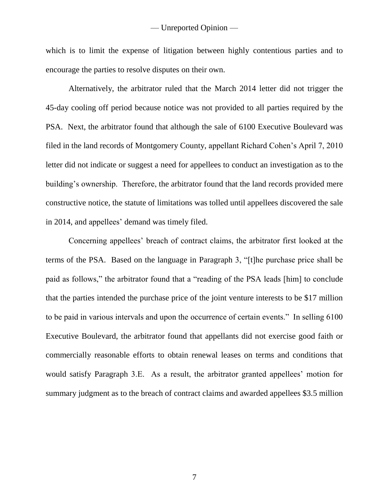which is to limit the expense of litigation between highly contentious parties and to encourage the parties to resolve disputes on their own.

Alternatively, the arbitrator ruled that the March 2014 letter did not trigger the 45-day cooling off period because notice was not provided to all parties required by the PSA. Next, the arbitrator found that although the sale of 6100 Executive Boulevard was filed in the land records of Montgomery County, appellant Richard Cohen's April 7, 2010 letter did not indicate or suggest a need for appellees to conduct an investigation as to the building's ownership. Therefore, the arbitrator found that the land records provided mere constructive notice, the statute of limitations was tolled until appellees discovered the sale in 2014, and appellees' demand was timely filed.

Concerning appellees' breach of contract claims, the arbitrator first looked at the terms of the PSA. Based on the language in Paragraph 3, "[t]he purchase price shall be paid as follows," the arbitrator found that a "reading of the PSA leads [him] to conclude that the parties intended the purchase price of the joint venture interests to be \$17 million to be paid in various intervals and upon the occurrence of certain events." In selling 6100 Executive Boulevard, the arbitrator found that appellants did not exercise good faith or commercially reasonable efforts to obtain renewal leases on terms and conditions that would satisfy Paragraph 3.E. As a result, the arbitrator granted appellees' motion for summary judgment as to the breach of contract claims and awarded appellees \$3.5 million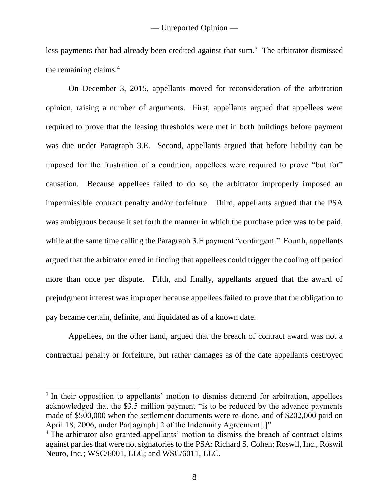less payments that had already been credited against that sum.<sup>3</sup> The arbitrator dismissed the remaining claims.<sup>4</sup>

On December 3, 2015, appellants moved for reconsideration of the arbitration opinion, raising a number of arguments. First, appellants argued that appellees were required to prove that the leasing thresholds were met in both buildings before payment was due under Paragraph 3.E. Second, appellants argued that before liability can be imposed for the frustration of a condition, appellees were required to prove "but for" causation. Because appellees failed to do so, the arbitrator improperly imposed an impermissible contract penalty and/or forfeiture. Third, appellants argued that the PSA was ambiguous because it set forth the manner in which the purchase price was to be paid, while at the same time calling the Paragraph 3.E payment "contingent." Fourth, appellants argued that the arbitrator erred in finding that appellees could trigger the cooling off period more than once per dispute. Fifth, and finally, appellants argued that the award of prejudgment interest was improper because appellees failed to prove that the obligation to pay became certain, definite, and liquidated as of a known date.

Appellees, on the other hand, argued that the breach of contract award was not a contractual penalty or forfeiture, but rather damages as of the date appellants destroyed

 $\overline{a}$ 

<sup>&</sup>lt;sup>3</sup> In their opposition to appellants' motion to dismiss demand for arbitration, appellees acknowledged that the \$3.5 million payment "is to be reduced by the advance payments made of \$500,000 when the settlement documents were re-done, and of \$202,000 paid on April 18, 2006, under Par[agraph] 2 of the Indemnity Agreement[.]"

<sup>4</sup> The arbitrator also granted appellants' motion to dismiss the breach of contract claims against parties that were not signatories to the PSA: Richard S. Cohen; Roswil, Inc., Roswil Neuro, Inc.; WSC/6001, LLC; and WSC/6011, LLC.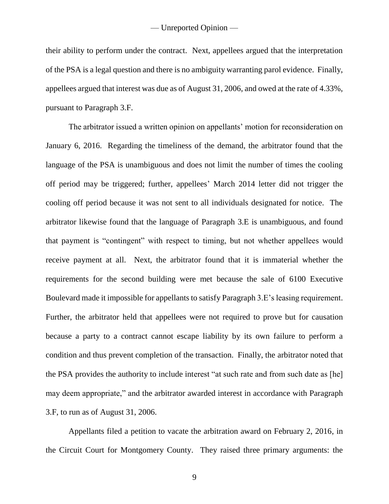their ability to perform under the contract. Next, appellees argued that the interpretation of the PSA is a legal question and there is no ambiguity warranting parol evidence. Finally, appellees argued that interest was due as of August 31, 2006, and owed at the rate of 4.33%, pursuant to Paragraph 3.F.

The arbitrator issued a written opinion on appellants' motion for reconsideration on January 6, 2016. Regarding the timeliness of the demand, the arbitrator found that the language of the PSA is unambiguous and does not limit the number of times the cooling off period may be triggered; further, appellees' March 2014 letter did not trigger the cooling off period because it was not sent to all individuals designated for notice. The arbitrator likewise found that the language of Paragraph 3.E is unambiguous, and found that payment is "contingent" with respect to timing, but not whether appellees would receive payment at all. Next, the arbitrator found that it is immaterial whether the requirements for the second building were met because the sale of 6100 Executive Boulevard made it impossible for appellants to satisfy Paragraph 3.E's leasing requirement. Further, the arbitrator held that appellees were not required to prove but for causation because a party to a contract cannot escape liability by its own failure to perform a condition and thus prevent completion of the transaction. Finally, the arbitrator noted that the PSA provides the authority to include interest "at such rate and from such date as [he] may deem appropriate," and the arbitrator awarded interest in accordance with Paragraph 3.F, to run as of August 31, 2006.

Appellants filed a petition to vacate the arbitration award on February 2, 2016, in the Circuit Court for Montgomery County. They raised three primary arguments: the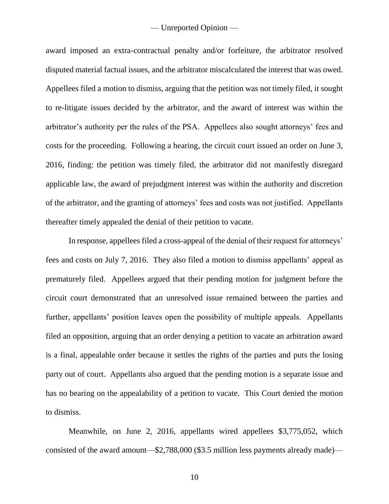award imposed an extra-contractual penalty and/or forfeiture, the arbitrator resolved disputed material factual issues, and the arbitrator miscalculated the interest that was owed. Appellees filed a motion to dismiss, arguing that the petition was not timely filed, it sought to re-litigate issues decided by the arbitrator, and the award of interest was within the arbitrator's authority per the rules of the PSA. Appellees also sought attorneys' fees and costs for the proceeding. Following a hearing, the circuit court issued an order on June 3, 2016, finding: the petition was timely filed, the arbitrator did not manifestly disregard applicable law, the award of prejudgment interest was within the authority and discretion of the arbitrator, and the granting of attorneys' fees and costs was not justified. Appellants thereafter timely appealed the denial of their petition to vacate.

In response, appellees filed a cross-appeal of the denial of their request for attorneys' fees and costs on July 7, 2016. They also filed a motion to dismiss appellants' appeal as prematurely filed. Appellees argued that their pending motion for judgment before the circuit court demonstrated that an unresolved issue remained between the parties and further, appellants' position leaves open the possibility of multiple appeals. Appellants filed an opposition, arguing that an order denying a petition to vacate an arbitration award is a final, appealable order because it settles the rights of the parties and puts the losing party out of court. Appellants also argued that the pending motion is a separate issue and has no bearing on the appealability of a petition to vacate. This Court denied the motion to dismiss.

Meanwhile, on June 2, 2016, appellants wired appellees \$3,775,052, which consisted of the award amount—\$2,788,000 (\$3.5 million less payments already made)—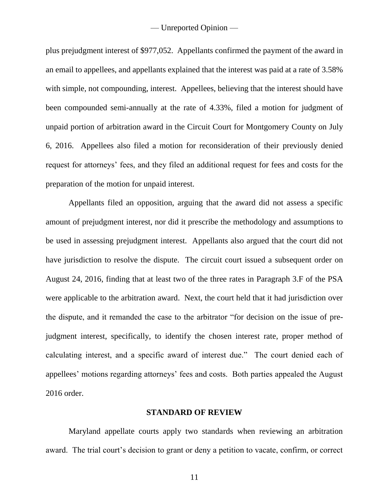plus prejudgment interest of \$977,052. Appellants confirmed the payment of the award in an email to appellees, and appellants explained that the interest was paid at a rate of 3.58% with simple, not compounding, interest. Appellees, believing that the interest should have been compounded semi-annually at the rate of 4.33%, filed a motion for judgment of unpaid portion of arbitration award in the Circuit Court for Montgomery County on July 6, 2016. Appellees also filed a motion for reconsideration of their previously denied request for attorneys' fees, and they filed an additional request for fees and costs for the preparation of the motion for unpaid interest.

Appellants filed an opposition, arguing that the award did not assess a specific amount of prejudgment interest, nor did it prescribe the methodology and assumptions to be used in assessing prejudgment interest. Appellants also argued that the court did not have jurisdiction to resolve the dispute. The circuit court issued a subsequent order on August 24, 2016, finding that at least two of the three rates in Paragraph 3.F of the PSA were applicable to the arbitration award. Next, the court held that it had jurisdiction over the dispute, and it remanded the case to the arbitrator "for decision on the issue of prejudgment interest, specifically, to identify the chosen interest rate, proper method of calculating interest, and a specific award of interest due." The court denied each of appellees' motions regarding attorneys' fees and costs. Both parties appealed the August 2016 order.

#### **STANDARD OF REVIEW**

Maryland appellate courts apply two standards when reviewing an arbitration award. The trial court's decision to grant or deny a petition to vacate, confirm, or correct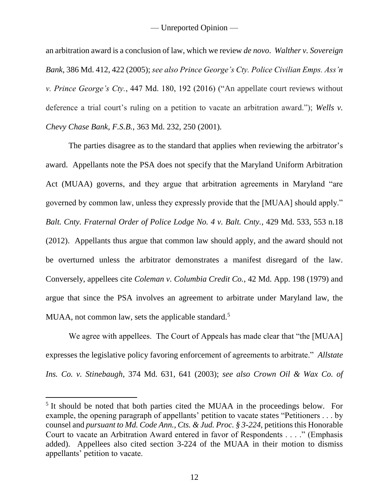an arbitration award is a conclusion of law, which we review *de novo*. *Walther v. Sovereign Bank*, 386 Md. 412, 422 (2005); *see also Prince George's Cty. Police Civilian Emps. Ass'n v. Prince George's Cty.*, 447 Md. 180, 192 (2016) ("An appellate court reviews without deference a trial court's ruling on a petition to vacate an arbitration award."); *Wells v. Chevy Chase Bank, F.S.B.*, 363 Md. 232, 250 (2001).

The parties disagree as to the standard that applies when reviewing the arbitrator's award. Appellants note the PSA does not specify that the Maryland Uniform Arbitration Act (MUAA) governs, and they argue that arbitration agreements in Maryland "are governed by common law, unless they expressly provide that the [MUAA] should apply." *Balt. Cnty. Fraternal Order of Police Lodge No. 4 v. Balt. Cnty.*, 429 Md. 533, 553 n.18 (2012). Appellants thus argue that common law should apply, and the award should not be overturned unless the arbitrator demonstrates a manifest disregard of the law. Conversely, appellees cite *Coleman v. Columbia Credit Co.*, 42 Md. App. 198 (1979) and argue that since the PSA involves an agreement to arbitrate under Maryland law, the MUAA, not common law, sets the applicable standard.<sup>5</sup>

We agree with appellees. The Court of Appeals has made clear that "the [MUAA] expresses the legislative policy favoring enforcement of agreements to arbitrate." *Allstate Ins. Co. v. Stinebaugh*, 374 Md. 631, 641 (2003); *see also Crown Oil & Wax Co. of* 

 $\overline{a}$ 

<sup>&</sup>lt;sup>5</sup> It should be noted that both parties cited the MUAA in the proceedings below. For example, the opening paragraph of appellants' petition to vacate states "Petitioners . . . by counsel and *pursuant to Md. Code Ann., Cts. & Jud. Proc. § 3-224*, petitions this Honorable Court to vacate an Arbitration Award entered in favor of Respondents . . . ." (Emphasis added). Appellees also cited section 3-224 of the MUAA in their motion to dismiss appellants' petition to vacate.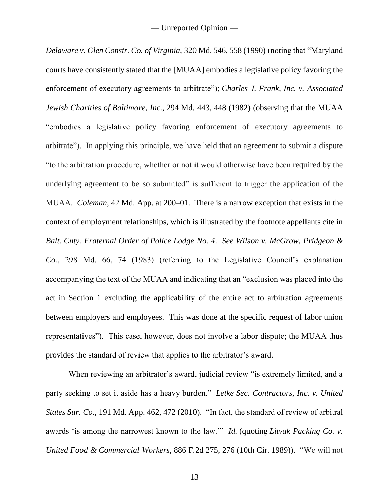*Delaware v. Glen Constr. Co. of Virginia*, 320 Md. 546, 558 (1990) (noting that "Maryland courts have consistently stated that the [MUAA] embodies a legislative policy favoring the enforcement of executory agreements to arbitrate"); *Charles J. Frank, Inc. v. Associated Jewish Charities of Baltimore, Inc.*, 294 Md. 443, 448 (1982) (observing that the MUAA "embodies a legislative policy favoring enforcement of executory agreements to arbitrate"). In applying this principle, we have held that an agreement to submit a dispute "to the arbitration procedure, whether or not it would otherwise have been required by the underlying agreement to be so submitted" is sufficient to trigger the application of the MUAA. *Coleman*, 42 Md. App. at 200–01. There is a narrow exception that exists in the context of employment relationships, which is illustrated by the footnote appellants cite in *Balt. Cnty. Fraternal Order of Police Lodge No. 4*. *See Wilson v. McGrow, Pridgeon & Co.*, 298 Md. 66, 74 (1983) (referring to the Legislative Council's explanation accompanying the text of the MUAA and indicating that an "exclusion was placed into the act in Section 1 excluding the applicability of the entire act to arbitration agreements between employers and employees. This was done at the specific request of labor union representatives"). This case, however, does not involve a labor dispute; the MUAA thus provides the standard of review that applies to the arbitrator's award.

When reviewing an arbitrator's award, judicial review "is extremely limited, and a party seeking to set it aside has a heavy burden." *Letke Sec. Contractors, Inc. v. United States Sur. Co.*, 191 Md. App. 462, 472 (2010). "In fact, the standard of review of arbitral awards 'is among the narrowest known to the law.'" *Id.* (quoting *Litvak Packing Co. v. United Food & Commercial Workers*, 886 F.2d 275, 276 (10th Cir. 1989)). "We will not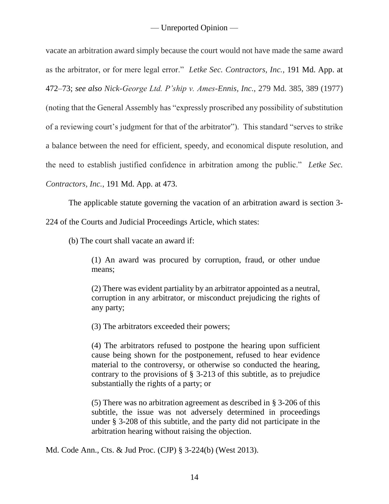vacate an arbitration award simply because the court would not have made the same award as the arbitrator, or for mere legal error." *Letke Sec. Contractors, Inc.*, 191 Md. App. at 472–73; *see also Nick-George Ltd. P'ship v. Ames-Ennis, Inc.*, 279 Md. 385, 389 (1977) (noting that the General Assembly has "expressly proscribed any possibility of substitution of a reviewing court's judgment for that of the arbitrator"). This standard "serves to strike a balance between the need for efficient, speedy, and economical dispute resolution, and the need to establish justified confidence in arbitration among the public." *Letke Sec. Contractors, Inc.*, 191 Md. App. at 473.

The applicable statute governing the vacation of an arbitration award is section 3-

224 of the Courts and Judicial Proceedings Article, which states:

(b) The court shall vacate an award if:

(1) An award was procured by corruption, fraud, or other undue means;

(2) There was evident partiality by an arbitrator appointed as a neutral, corruption in any arbitrator, or misconduct prejudicing the rights of any party;

(3) The arbitrators exceeded their powers;

(4) The arbitrators refused to postpone the hearing upon sufficient cause being shown for the postponement, refused to hear evidence material to the controversy, or otherwise so conducted the hearing, contrary to the provisions of § 3-213 of this subtitle, as to prejudice substantially the rights of a party; or

(5) There was no arbitration agreement as described in § 3-206 of this subtitle, the issue was not adversely determined in proceedings under § 3-208 of this subtitle, and the party did not participate in the arbitration hearing without raising the objection.

Md. Code Ann., Cts. & Jud Proc. (CJP) § 3-224(b) (West 2013).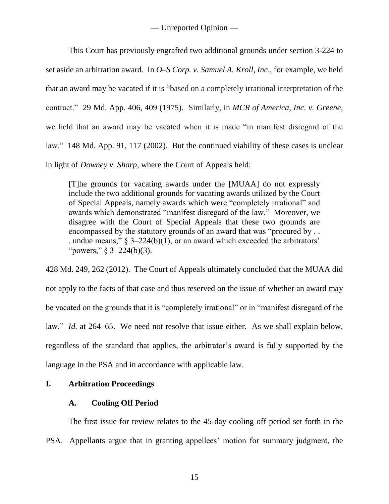This Court has previously engrafted two additional grounds under section 3-224 to set aside an arbitration award. In *O–S Corp. v. Samuel A. Kroll, Inc*., for example, we held that an award may be vacated if it is "based on a completely irrational interpretation of the contract." 29 Md. App. 406, 409 (1975). Similarly, in *MCR of America, Inc. v. Greene*, we held that an award may be vacated when it is made "in manifest disregard of the law." 148 Md. App. 91, 117 (2002). But the continued viability of these cases is unclear in light of *Downey v. Sharp*, where the Court of Appeals held:

[T]he grounds for vacating awards under the [MUAA] do not expressly include the two additional grounds for vacating awards utilized by the Court of Special Appeals, namely awards which were "completely irrational" and awards which demonstrated "manifest disregard of the law." Moreover, we disagree with the Court of Special Appeals that these two grounds are encompassed by the statutory grounds of an award that was "procured by . . . undue means," § 3–224(b)(1), or an award which exceeded the arbitrators' "powers,"  $\S$  3-224(b)(3).

428 Md. 249, 262 (2012). The Court of Appeals ultimately concluded that the MUAA did not apply to the facts of that case and thus reserved on the issue of whether an award may be vacated on the grounds that it is "completely irrational" or in "manifest disregard of the law." *Id.* at 264–65. We need not resolve that issue either. As we shall explain below, regardless of the standard that applies, the arbitrator's award is fully supported by the language in the PSA and in accordance with applicable law.

## **I. Arbitration Proceedings**

## **A. Cooling Off Period**

The first issue for review relates to the 45-day cooling off period set forth in the PSA. Appellants argue that in granting appellees' motion for summary judgment, the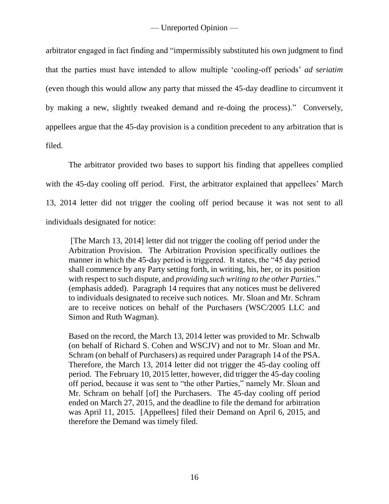arbitrator engaged in fact finding and "impermissibly substituted his own judgment to find that the parties must have intended to allow multiple 'cooling-off periods' *ad seriatim*  (even though this would allow any party that missed the 45-day deadline to circumvent it by making a new, slightly tweaked demand and re-doing the process)." Conversely, appellees argue that the 45-day provision is a condition precedent to any arbitration that is filed.

The arbitrator provided two bases to support his finding that appellees complied with the 45-day cooling off period. First, the arbitrator explained that appellees' March 13, 2014 letter did not trigger the cooling off period because it was not sent to all individuals designated for notice:

[The March 13, 2014] letter did not trigger the cooling off period under the Arbitration Provision. The Arbitration Provision specifically outlines the manner in which the 45-day period is triggered. It states, the "45 day period shall commence by any Party setting forth, in writing, his, her, or its position with respect to such dispute, and *providing such writing to the other Parties*." (emphasis added). Paragraph 14 requires that any notices must be delivered to individuals designated to receive such notices. Mr. Sloan and Mr. Schram are to receive notices on behalf of the Purchasers (WSC/2005 LLC and Simon and Ruth Wagman).

Based on the record, the March 13, 2014 letter was provided to Mr. Schwalb (on behalf of Richard S. Cohen and WSCJV) and not to Mr. Sloan and Mr. Schram (on behalf of Purchasers) as required under Paragraph 14 of the PSA. Therefore, the March 13, 2014 letter did not trigger the 45-day cooling off period. The February 10, 2015 letter, however, did trigger the 45-day cooling off period, because it was sent to "the other Parties," namely Mr. Sloan and Mr. Schram on behalf [of] the Purchasers. The 45-day cooling off period ended on March 27, 2015, and the deadline to file the demand for arbitration was April 11, 2015. [Appellees] filed their Demand on April 6, 2015, and therefore the Demand was timely filed.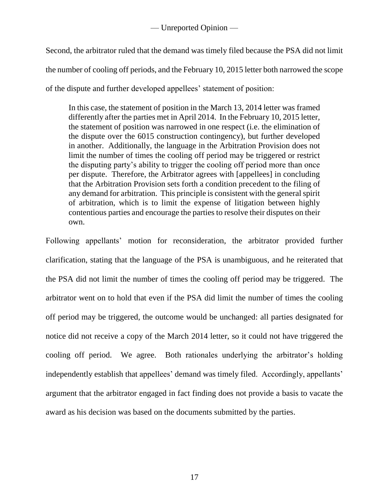Second, the arbitrator ruled that the demand was timely filed because the PSA did not limit the number of cooling off periods, and the February 10, 2015 letter both narrowed the scope of the dispute and further developed appellees' statement of position:

In this case, the statement of position in the March 13, 2014 letter was framed differently after the parties met in April 2014. In the February 10, 2015 letter, the statement of position was narrowed in one respect (i.e. the elimination of the dispute over the 6015 construction contingency), but further developed in another. Additionally, the language in the Arbitration Provision does not limit the number of times the cooling off period may be triggered or restrict the disputing party's ability to trigger the cooling off period more than once per dispute. Therefore, the Arbitrator agrees with [appellees] in concluding that the Arbitration Provision sets forth a condition precedent to the filing of any demand for arbitration. This principle is consistent with the general spirit of arbitration, which is to limit the expense of litigation between highly contentious parties and encourage the parties to resolve their disputes on their own.

Following appellants' motion for reconsideration, the arbitrator provided further clarification, stating that the language of the PSA is unambiguous, and he reiterated that the PSA did not limit the number of times the cooling off period may be triggered. The arbitrator went on to hold that even if the PSA did limit the number of times the cooling off period may be triggered, the outcome would be unchanged: all parties designated for notice did not receive a copy of the March 2014 letter, so it could not have triggered the cooling off period. We agree. Both rationales underlying the arbitrator's holding independently establish that appellees' demand was timely filed. Accordingly, appellants' argument that the arbitrator engaged in fact finding does not provide a basis to vacate the award as his decision was based on the documents submitted by the parties.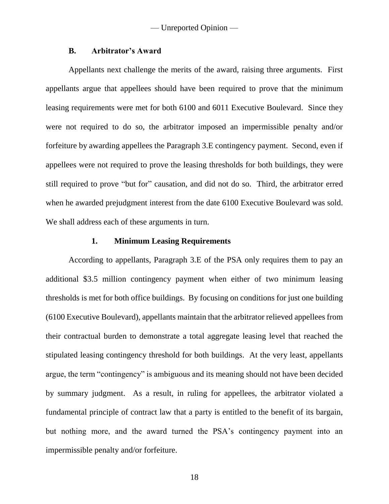#### **B. Arbitrator's Award**

Appellants next challenge the merits of the award, raising three arguments. First appellants argue that appellees should have been required to prove that the minimum leasing requirements were met for both 6100 and 6011 Executive Boulevard. Since they were not required to do so, the arbitrator imposed an impermissible penalty and/or forfeiture by awarding appellees the Paragraph 3.E contingency payment. Second, even if appellees were not required to prove the leasing thresholds for both buildings, they were still required to prove "but for" causation, and did not do so. Third, the arbitrator erred when he awarded prejudgment interest from the date 6100 Executive Boulevard was sold. We shall address each of these arguments in turn.

#### **1. Minimum Leasing Requirements**

According to appellants, Paragraph 3.E of the PSA only requires them to pay an additional \$3.5 million contingency payment when either of two minimum leasing thresholds is met for both office buildings. By focusing on conditions for just one building (6100 Executive Boulevard), appellants maintain that the arbitrator relieved appellees from their contractual burden to demonstrate a total aggregate leasing level that reached the stipulated leasing contingency threshold for both buildings. At the very least, appellants argue, the term "contingency" is ambiguous and its meaning should not have been decided by summary judgment. As a result, in ruling for appellees, the arbitrator violated a fundamental principle of contract law that a party is entitled to the benefit of its bargain, but nothing more, and the award turned the PSA's contingency payment into an impermissible penalty and/or forfeiture.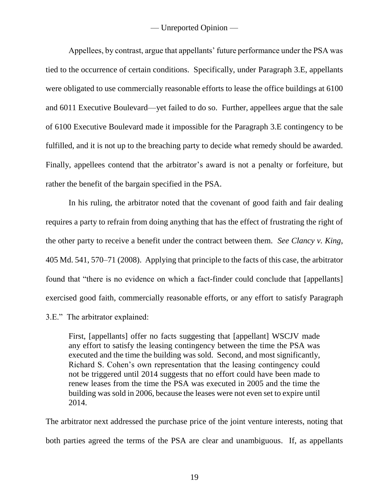Appellees, by contrast, argue that appellants' future performance under the PSA was tied to the occurrence of certain conditions. Specifically, under Paragraph 3.E, appellants were obligated to use commercially reasonable efforts to lease the office buildings at 6100 and 6011 Executive Boulevard—yet failed to do so. Further, appellees argue that the sale of 6100 Executive Boulevard made it impossible for the Paragraph 3.E contingency to be fulfilled, and it is not up to the breaching party to decide what remedy should be awarded. Finally, appellees contend that the arbitrator's award is not a penalty or forfeiture, but rather the benefit of the bargain specified in the PSA.

In his ruling, the arbitrator noted that the covenant of good faith and fair dealing requires a party to refrain from doing anything that has the effect of frustrating the right of the other party to receive a benefit under the contract between them. *See Clancy v. King*, 405 Md. 541, 570–71 (2008). Applying that principle to the facts of this case, the arbitrator found that "there is no evidence on which a fact-finder could conclude that [appellants] exercised good faith, commercially reasonable efforts, or any effort to satisfy Paragraph 3.E." The arbitrator explained:

First, [appellants] offer no facts suggesting that [appellant] WSCJV made any effort to satisfy the leasing contingency between the time the PSA was executed and the time the building was sold. Second, and most significantly, Richard S. Cohen's own representation that the leasing contingency could not be triggered until 2014 suggests that no effort could have been made to renew leases from the time the PSA was executed in 2005 and the time the building was sold in 2006, because the leases were not even set to expire until 2014.

The arbitrator next addressed the purchase price of the joint venture interests, noting that both parties agreed the terms of the PSA are clear and unambiguous. If, as appellants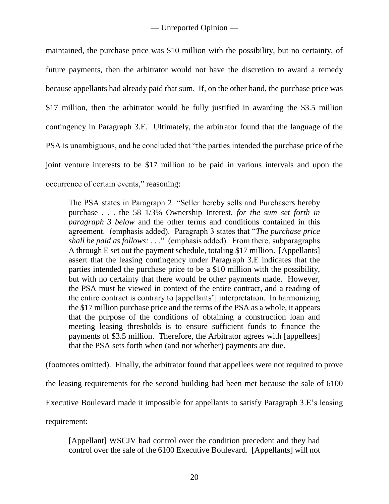maintained, the purchase price was \$10 million with the possibility, but no certainty, of future payments, then the arbitrator would not have the discretion to award a remedy because appellants had already paid that sum. If, on the other hand, the purchase price was \$17 million, then the arbitrator would be fully justified in awarding the \$3.5 million contingency in Paragraph 3.E. Ultimately, the arbitrator found that the language of the PSA is unambiguous, and he concluded that "the parties intended the purchase price of the joint venture interests to be \$17 million to be paid in various intervals and upon the occurrence of certain events," reasoning:

The PSA states in Paragraph 2: "Seller hereby sells and Purchasers hereby purchase . . . the 58 1/3% Ownership Interest, *for the sum set forth in paragraph 3 below* and the other terms and conditions contained in this agreement. (emphasis added). Paragraph 3 states that "*The purchase price shall be paid as follows:* . . ." (emphasis added). From there, subparagraphs A through E set out the payment schedule, totaling \$17 million. [Appellants] assert that the leasing contingency under Paragraph 3.E indicates that the parties intended the purchase price to be a \$10 million with the possibility, but with no certainty that there would be other payments made. However, the PSA must be viewed in context of the entire contract, and a reading of the entire contract is contrary to [appellants'] interpretation. In harmonizing the \$17 million purchase price and the terms of the PSA as a whole, it appears that the purpose of the conditions of obtaining a construction loan and meeting leasing thresholds is to ensure sufficient funds to finance the payments of \$3.5 million. Therefore, the Arbitrator agrees with [appellees] that the PSA sets forth when (and not whether) payments are due.

(footnotes omitted). Finally, the arbitrator found that appellees were not required to prove

the leasing requirements for the second building had been met because the sale of 6100

Executive Boulevard made it impossible for appellants to satisfy Paragraph 3.E's leasing

requirement:

[Appellant] WSCJV had control over the condition precedent and they had control over the sale of the 6100 Executive Boulevard. [Appellants] will not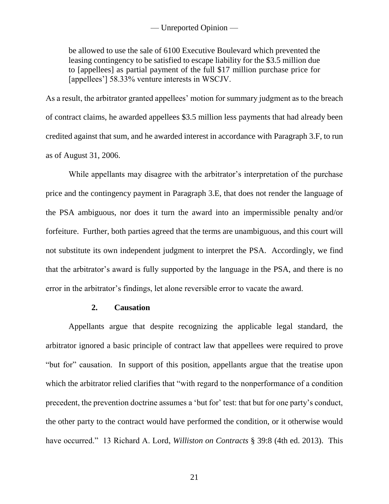be allowed to use the sale of 6100 Executive Boulevard which prevented the leasing contingency to be satisfied to escape liability for the \$3.5 million due to [appellees] as partial payment of the full \$17 million purchase price for [appellees'] 58.33% venture interests in WSCJV.

As a result, the arbitrator granted appellees' motion for summary judgment as to the breach of contract claims, he awarded appellees \$3.5 million less payments that had already been credited against that sum, and he awarded interest in accordance with Paragraph 3.F, to run as of August 31, 2006.

While appellants may disagree with the arbitrator's interpretation of the purchase price and the contingency payment in Paragraph 3.E, that does not render the language of the PSA ambiguous, nor does it turn the award into an impermissible penalty and/or forfeiture. Further, both parties agreed that the terms are unambiguous, and this court will not substitute its own independent judgment to interpret the PSA. Accordingly, we find that the arbitrator's award is fully supported by the language in the PSA, and there is no error in the arbitrator's findings, let alone reversible error to vacate the award.

## **2. Causation**

Appellants argue that despite recognizing the applicable legal standard, the arbitrator ignored a basic principle of contract law that appellees were required to prove "but for" causation. In support of this position, appellants argue that the treatise upon which the arbitrator relied clarifies that "with regard to the nonperformance of a condition precedent, the prevention doctrine assumes a 'but for' test: that but for one party's conduct, the other party to the contract would have performed the condition, or it otherwise would have occurred." 13 Richard A. Lord, *Williston on Contracts* § 39:8 (4th ed. 2013). This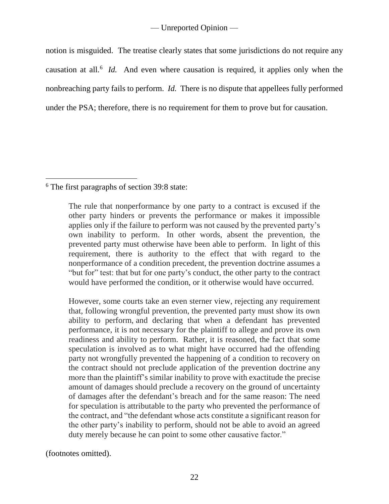notion is misguided. The treatise clearly states that some jurisdictions do not require any causation at all.<sup>6</sup> *Id.* And even where causation is required, it applies only when the nonbreaching party fails to perform. *Id.* There is no dispute that appellees fully performed under the PSA; therefore, there is no requirement for them to prove but for causation.

<sup>6</sup> The first paragraphs of section 39:8 state:

 $\overline{a}$ 

The rule that nonperformance by one party to a contract is excused if the other party hinders or prevents the performance or makes it impossible applies only if the failure to perform was not caused by the prevented party's own inability to perform. In other words, absent the prevention, the prevented party must otherwise have been able to perform. In light of this requirement, there is authority to the effect that with regard to the nonperformance of a condition precedent, the prevention doctrine assumes a "but for" test: that but for one party's conduct, the other party to the contract would have performed the condition, or it otherwise would have occurred.

However, some courts take an even sterner view, rejecting any requirement that, following wrongful prevention, the prevented party must show its own ability to perform, and declaring that when a defendant has prevented performance, it is not necessary for the plaintiff to allege and prove its own readiness and ability to perform. Rather, it is reasoned, the fact that some speculation is involved as to what might have occurred had the offending party not wrongfully prevented the happening of a condition to recovery on the contract should not preclude application of the prevention doctrine any more than the plaintiff's similar inability to prove with exactitude the precise amount of damages should preclude a recovery on the ground of uncertainty of damages after the defendant's breach and for the same reason: The need for speculation is attributable to the party who prevented the performance of the contract, and "the defendant whose acts constitute a significant reason for the other party's inability to perform, should not be able to avoid an agreed duty merely because he can point to some other causative factor."

(footnotes omitted).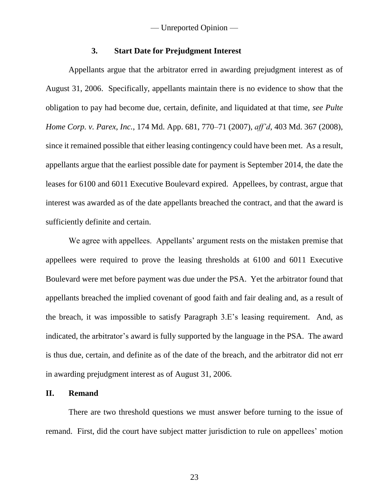### **3. Start Date for Prejudgment Interest**

Appellants argue that the arbitrator erred in awarding prejudgment interest as of August 31, 2006. Specifically, appellants maintain there is no evidence to show that the obligation to pay had become due, certain, definite, and liquidated at that time, *see Pulte Home Corp. v. Parex, Inc.*, 174 Md. App. 681, 770–71 (2007), *aff'd*, 403 Md. 367 (2008), since it remained possible that either leasing contingency could have been met. As a result, appellants argue that the earliest possible date for payment is September 2014, the date the leases for 6100 and 6011 Executive Boulevard expired. Appellees, by contrast, argue that interest was awarded as of the date appellants breached the contract, and that the award is sufficiently definite and certain.

We agree with appellees. Appellants' argument rests on the mistaken premise that appellees were required to prove the leasing thresholds at 6100 and 6011 Executive Boulevard were met before payment was due under the PSA. Yet the arbitrator found that appellants breached the implied covenant of good faith and fair dealing and, as a result of the breach, it was impossible to satisfy Paragraph 3.E's leasing requirement. And, as indicated, the arbitrator's award is fully supported by the language in the PSA. The award is thus due, certain, and definite as of the date of the breach, and the arbitrator did not err in awarding prejudgment interest as of August 31, 2006.

### **II. Remand**

There are two threshold questions we must answer before turning to the issue of remand. First, did the court have subject matter jurisdiction to rule on appellees' motion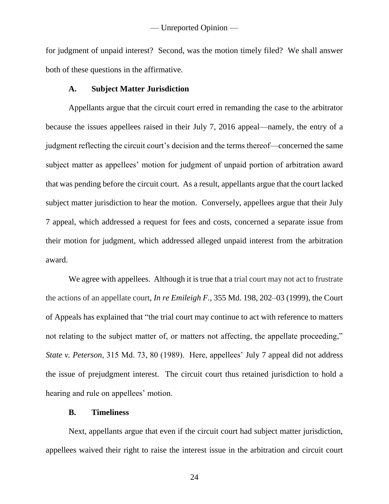for judgment of unpaid interest? Second, was the motion timely filed? We shall answer both of these questions in the affirmative.

## **A. Subject Matter Jurisdiction**

Appellants argue that the circuit court erred in remanding the case to the arbitrator because the issues appellees raised in their July 7, 2016 appeal—namely, the entry of a judgment reflecting the circuit court's decision and the terms thereof—concerned the same subject matter as appellees' motion for judgment of unpaid portion of arbitration award that was pending before the circuit court. As a result, appellants argue that the court lacked subject matter jurisdiction to hear the motion. Conversely, appellees argue that their July 7 appeal, which addressed a request for fees and costs, concerned a separate issue from their motion for judgment, which addressed alleged unpaid interest from the arbitration award.

We agree with appellees. Although it is true that a trial court may not act to frustrate the actions of an appellate court, *In re Emileigh F.*, 355 Md. 198, 202–03 (1999), the Court of Appeals has explained that "the trial court may continue to act with reference to matters not relating to the subject matter of, or matters not affecting, the appellate proceeding," *State v. Peterson*, 315 Md. 73, 80 (1989). Here, appellees' July 7 appeal did not address the issue of prejudgment interest. The circuit court thus retained jurisdiction to hold a hearing and rule on appellees' motion.

### **B. Timeliness**

Next, appellants argue that even if the circuit court had subject matter jurisdiction, appellees waived their right to raise the interest issue in the arbitration and circuit court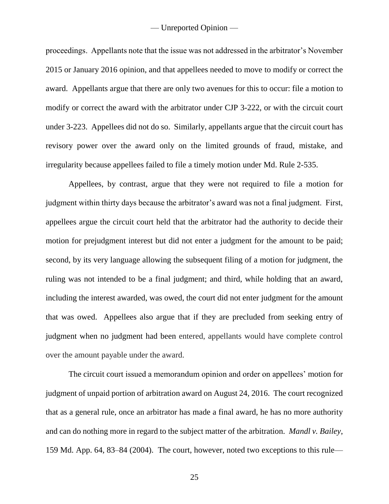proceedings. Appellants note that the issue was not addressed in the arbitrator's November 2015 or January 2016 opinion, and that appellees needed to move to modify or correct the award. Appellants argue that there are only two avenues for this to occur: file a motion to modify or correct the award with the arbitrator under CJP 3-222, or with the circuit court under 3-223. Appellees did not do so. Similarly, appellants argue that the circuit court has revisory power over the award only on the limited grounds of fraud, mistake, and irregularity because appellees failed to file a timely motion under Md. Rule 2-535.

Appellees, by contrast, argue that they were not required to file a motion for judgment within thirty days because the arbitrator's award was not a final judgment. First, appellees argue the circuit court held that the arbitrator had the authority to decide their motion for prejudgment interest but did not enter a judgment for the amount to be paid; second, by its very language allowing the subsequent filing of a motion for judgment, the ruling was not intended to be a final judgment; and third, while holding that an award, including the interest awarded, was owed, the court did not enter judgment for the amount that was owed. Appellees also argue that if they are precluded from seeking entry of judgment when no judgment had been entered, appellants would have complete control over the amount payable under the award.

The circuit court issued a memorandum opinion and order on appellees' motion for judgment of unpaid portion of arbitration award on August 24, 2016. The court recognized that as a general rule, once an arbitrator has made a final award, he has no more authority and can do nothing more in regard to the subject matter of the arbitration. *Mandl v. Bailey*, 159 Md. App. 64, 83–84 (2004). The court, however, noted two exceptions to this rule—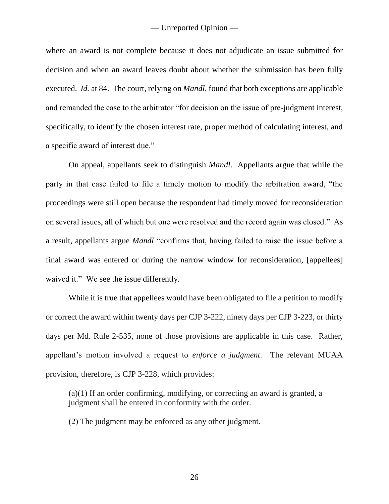where an award is not complete because it does not adjudicate an issue submitted for decision and when an award leaves doubt about whether the submission has been fully executed. *Id.* at 84. The court, relying on *Mandl*, found that both exceptions are applicable and remanded the case to the arbitrator "for decision on the issue of pre-judgment interest, specifically, to identify the chosen interest rate, proper method of calculating interest, and a specific award of interest due."

On appeal, appellants seek to distinguish *Mandl*. Appellants argue that while the party in that case failed to file a timely motion to modify the arbitration award, "the proceedings were still open because the respondent had timely moved for reconsideration on several issues, all of which but one were resolved and the record again was closed." As a result, appellants argue *Mandl* "confirms that, having failed to raise the issue before a final award was entered or during the narrow window for reconsideration, [appellees] waived it." We see the issue differently.

While it is true that appellees would have been obligated to file a petition to modify or correct the award within twenty days per CJP 3-222, ninety days per CJP 3-223, or thirty days per Md. Rule 2-535, none of those provisions are applicable in this case. Rather, appellant's motion involved a request to *enforce a judgment*. The relevant MUAA provision, therefore, is CJP 3-228, which provides:

(a)(1) If an order confirming, modifying, or correcting an award is granted, a judgment shall be entered in conformity with the order.

(2) The judgment may be enforced as any other judgment.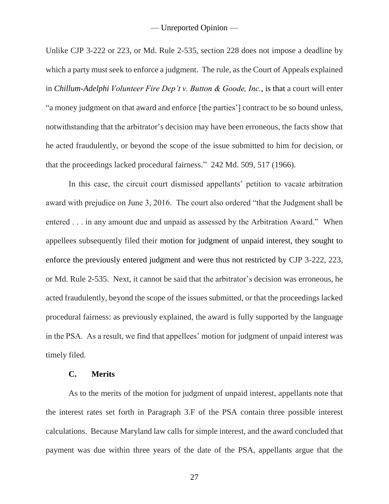Unlike CJP 3-222 or 223, or Md. Rule 2-535, section 228 does not impose a deadline by which a party must seek to enforce a judgment. The rule, as the Court of Appeals explained in *Chillum-Adelphi Volunteer Fire Dep't v. Button & Goode, Inc.*, is that a court will enter "a money judgment on that award and enforce [the parties'] contract to be so bound unless, notwithstanding that the arbitrator's decision may have been erroneous, the facts show that he acted fraudulently, or beyond the scope of the issue submitted to him for decision, or that the proceedings lacked procedural fairness." 242 Md. 509, 517 (1966).

In this case, the circuit court dismissed appellants' petition to vacate arbitration award with prejudice on June 3, 2016. The court also ordered "that the Judgment shall be entered . . . in any amount due and unpaid as assessed by the Arbitration Award." When appellees subsequently filed their motion for judgment of unpaid interest, they sought to enforce the previously entered judgment and were thus not restricted by CJP 3-222, 223, or Md. Rule 2-535. Next, it cannot be said that the arbitrator's decision was erroneous, he acted fraudulently, beyond the scope of the issues submitted, or that the proceedings lacked procedural fairness: as previously explained, the award is fully supported by the language in the PSA. As a result, we find that appellees' motion for judgment of unpaid interest was timely filed.

#### **C. Merits**

As to the merits of the motion for judgment of unpaid interest, appellants note that the interest rates set forth in Paragraph 3.F of the PSA contain three possible interest calculations. Because Maryland law calls for simple interest, and the award concluded that payment was due within three years of the date of the PSA, appellants argue that the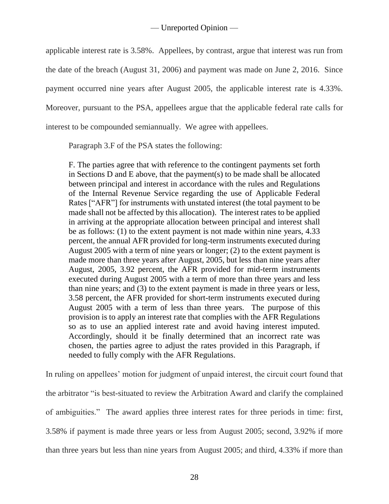applicable interest rate is 3.58%. Appellees, by contrast, argue that interest was run from the date of the breach (August 31, 2006) and payment was made on June 2, 2016. Since payment occurred nine years after August 2005, the applicable interest rate is 4.33%. Moreover, pursuant to the PSA, appellees argue that the applicable federal rate calls for interest to be compounded semiannually. We agree with appellees.

Paragraph 3.F of the PSA states the following:

F. The parties agree that with reference to the contingent payments set forth in Sections D and E above, that the payment(s) to be made shall be allocated between principal and interest in accordance with the rules and Regulations of the Internal Revenue Service regarding the use of Applicable Federal Rates ["AFR"] for instruments with unstated interest (the total payment to be made shall not be affected by this allocation). The interest rates to be applied in arriving at the appropriate allocation between principal and interest shall be as follows: (1) to the extent payment is not made within nine years, 4.33 percent, the annual AFR provided for long-term instruments executed during August 2005 with a term of nine years or longer; (2) to the extent payment is made more than three years after August, 2005, but less than nine years after August, 2005, 3.92 percent, the AFR provided for mid-term instruments executed during August 2005 with a term of more than three years and less than nine years; and (3) to the extent payment is made in three years or less, 3.58 percent, the AFR provided for short-term instruments executed during August 2005 with a term of less than three years. The purpose of this provision is to apply an interest rate that complies with the AFR Regulations so as to use an applied interest rate and avoid having interest imputed. Accordingly, should it be finally determined that an incorrect rate was chosen, the parties agree to adjust the rates provided in this Paragraph, if needed to fully comply with the AFR Regulations.

In ruling on appellees' motion for judgment of unpaid interest, the circuit court found that the arbitrator "is best-situated to review the Arbitration Award and clarify the complained of ambiguities." The award applies three interest rates for three periods in time: first, 3.58% if payment is made three years or less from August 2005; second, 3.92% if more than three years but less than nine years from August 2005; and third, 4.33% if more than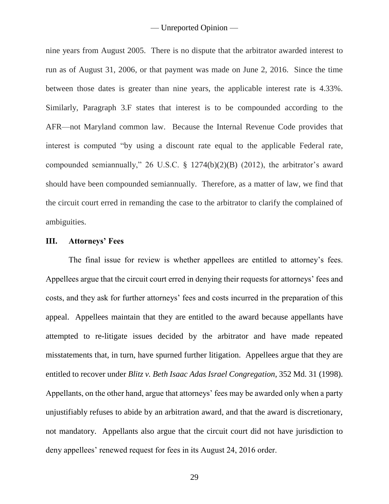nine years from August 2005. There is no dispute that the arbitrator awarded interest to run as of August 31, 2006, or that payment was made on June 2, 2016. Since the time between those dates is greater than nine years, the applicable interest rate is 4.33%. Similarly, Paragraph 3.F states that interest is to be compounded according to the AFR—not Maryland common law. Because the Internal Revenue Code provides that interest is computed "by using a discount rate equal to the applicable Federal rate, compounded semiannually," 26 U.S.C. § 1274(b)(2)(B) (2012), the arbitrator's award should have been compounded semiannually. Therefore, as a matter of law, we find that the circuit court erred in remanding the case to the arbitrator to clarify the complained of ambiguities.

#### **III. Attorneys' Fees**

The final issue for review is whether appellees are entitled to attorney's fees. Appellees argue that the circuit court erred in denying their requests for attorneys' fees and costs, and they ask for further attorneys' fees and costs incurred in the preparation of this appeal. Appellees maintain that they are entitled to the award because appellants have attempted to re-litigate issues decided by the arbitrator and have made repeated misstatements that, in turn, have spurned further litigation. Appellees argue that they are entitled to recover under *Blitz v. Beth Isaac Adas Israel Congregation*, 352 Md. 31 (1998). Appellants, on the other hand, argue that attorneys' fees may be awarded only when a party unjustifiably refuses to abide by an arbitration award, and that the award is discretionary, not mandatory. Appellants also argue that the circuit court did not have jurisdiction to deny appellees' renewed request for fees in its August 24, 2016 order.